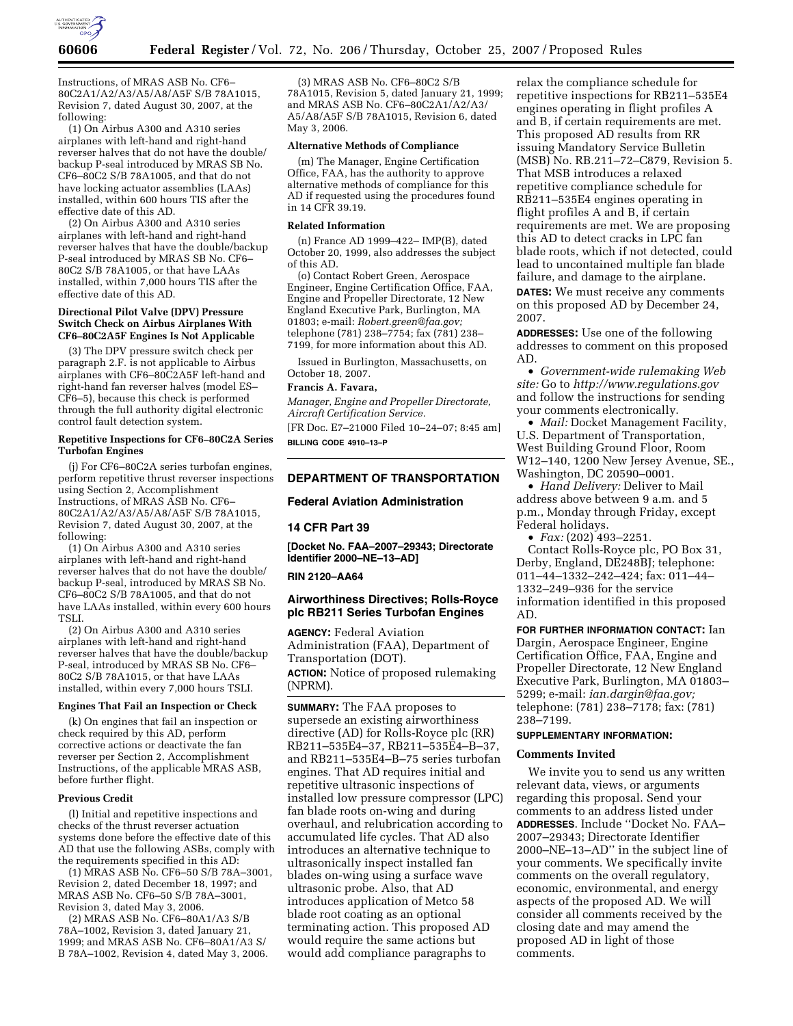

Instructions, of MRAS ASB No. CF6– 80C2A1/A2/A3/A5/A8/A5F S/B 78A1015, Revision 7, dated August 30, 2007, at the following:

(1) On Airbus A300 and A310 series airplanes with left-hand and right-hand reverser halves that do not have the double/ backup P-seal introduced by MRAS SB No. CF6–80C2 S/B 78A1005, and that do not have locking actuator assemblies (LAAs) installed, within 600 hours TIS after the effective date of this AD.

(2) On Airbus A300 and A310 series airplanes with left-hand and right-hand reverser halves that have the double/backup P-seal introduced by MRAS SB No. CF6– 80C2 S/B 78A1005, or that have LAAs installed, within 7,000 hours TIS after the effective date of this AD.

## **Directional Pilot Valve (DPV) Pressure Switch Check on Airbus Airplanes With CF6–80C2A5F Engines Is Not Applicable**

(3) The DPV pressure switch check per paragraph 2.F. is not applicable to Airbus airplanes with CF6–80C2A5F left-hand and right-hand fan reverser halves (model ES– CF6–5), because this check is performed through the full authority digital electronic control fault detection system.

## **Repetitive Inspections for CF6–80C2A Series Turbofan Engines**

(j) For CF6–80C2A series turbofan engines, perform repetitive thrust reverser inspections using Section 2, Accomplishment Instructions, of MRAS ASB No. CF6– 80C2A1/A2/A3/A5/A8/A5F S/B 78A1015, Revision 7, dated August 30, 2007, at the following:

(1) On Airbus A300 and A310 series airplanes with left-hand and right-hand reverser halves that do not have the double/ backup P-seal, introduced by MRAS SB No. CF6–80C2 S/B 78A1005, and that do not have LAAs installed, within every 600 hours TSLI.

(2) On Airbus A300 and A310 series airplanes with left-hand and right-hand reverser halves that have the double/backup P-seal, introduced by MRAS SB No. CF6– 80C2 S/B 78A1015, or that have LAAs installed, within every 7,000 hours TSLI.

## **Engines That Fail an Inspection or Check**

(k) On engines that fail an inspection or check required by this AD, perform corrective actions or deactivate the fan reverser per Section 2, Accomplishment Instructions, of the applicable MRAS ASB, before further flight.

## **Previous Credit**

(l) Initial and repetitive inspections and checks of the thrust reverser actuation systems done before the effective date of this AD that use the following ASBs, comply with the requirements specified in this AD:

(1) MRAS ASB No. CF6–50 S/B 78A–3001, Revision 2, dated December 18, 1997; and MRAS ASB No. CF6–50 S/B 78A–3001, Revision 3, dated May 3, 2006.

(2) MRAS ASB No. CF6–80A1/A3 S/B 78A–1002, Revision 3, dated January 21, 1999; and MRAS ASB No. CF6–80A1/A3 S/ B 78A–1002, Revision 4, dated May 3, 2006.

(3) MRAS ASB No. CF6–80C2 S/B 78A1015, Revision 5, dated January 21, 1999; and MRAS ASB No. CF6–80C2A1/A2/A3/ A5/A8/A5F S/B 78A1015, Revision 6, dated May 3, 2006.

### **Alternative Methods of Compliance**

(m) The Manager, Engine Certification Office, FAA, has the authority to approve alternative methods of compliance for this AD if requested using the procedures found in 14 CFR 39.19.

## **Related Information**

(n) France AD 1999–422– IMP(B), dated October 20, 1999, also addresses the subject of this AD.

(o) Contact Robert Green, Aerospace Engineer, Engine Certification Office, FAA, Engine and Propeller Directorate, 12 New England Executive Park, Burlington, MA 01803; e-mail: *Robert.green@faa.gov;*  telephone (781) 238–7754; fax (781) 238– 7199, for more information about this AD.

Issued in Burlington, Massachusetts, on October 18, 2007.

### **Francis A. Favara,**

*Manager, Engine and Propeller Directorate, Aircraft Certification Service.* 

[FR Doc. E7–21000 Filed 10–24–07; 8:45 am] **BILLING CODE 4910–13–P** 

# **DEPARTMENT OF TRANSPORTATION**

## **Federal Aviation Administration**

## **14 CFR Part 39**

**[Docket No. FAA–2007–29343; Directorate Identifier 2000–NE–13–AD]** 

#### **RIN 2120–AA64**

## **Airworthiness Directives; Rolls-Royce plc RB211 Series Turbofan Engines**

**AGENCY:** Federal Aviation Administration (FAA), Department of Transportation (DOT). **ACTION:** Notice of proposed rulemaking (NPRM).

**SUMMARY:** The FAA proposes to supersede an existing airworthiness directive (AD) for Rolls-Royce plc (RR) RB211–535E4–37, RB211–535E4–B–37, and RB211–535E4–B–75 series turbofan engines. That AD requires initial and repetitive ultrasonic inspections of installed low pressure compressor (LPC) fan blade roots on-wing and during overhaul, and relubrication according to accumulated life cycles. That AD also introduces an alternative technique to ultrasonically inspect installed fan blades on-wing using a surface wave ultrasonic probe. Also, that AD introduces application of Metco 58 blade root coating as an optional terminating action. This proposed AD would require the same actions but would add compliance paragraphs to

relax the compliance schedule for repetitive inspections for RB211–535E4 engines operating in flight profiles A and B, if certain requirements are met. This proposed AD results from RR issuing Mandatory Service Bulletin (MSB) No. RB.211–72–C879, Revision 5. That MSB introduces a relaxed repetitive compliance schedule for RB211–535E4 engines operating in flight profiles A and B, if certain requirements are met. We are proposing this AD to detect cracks in LPC fan blade roots, which if not detected, could lead to uncontained multiple fan blade failure, and damage to the airplane.

**DATES:** We must receive any comments on this proposed AD by December 24, 2007.

**ADDRESSES:** Use one of the following addresses to comment on this proposed AD.

• *Government-wide rulemaking Web site:* Go to *http://www.regulations.gov*  and follow the instructions for sending your comments electronically.

• *Mail:* Docket Management Facility, U.S. Department of Transportation, West Building Ground Floor, Room W12–140, 1200 New Jersey Avenue, SE., Washington, DC 20590–0001.

• *Hand Delivery:* Deliver to Mail address above between 9 a.m. and 5 p.m., Monday through Friday, except Federal holidays.

• *Fax:* (202) 493–2251.

Contact Rolls-Royce plc, PO Box 31, Derby, England, DE248BJ; telephone: 011–44–1332–242–424; fax: 011–44– 1332–249–936 for the service information identified in this proposed AD.

**FOR FURTHER INFORMATION CONTACT:** Ian Dargin, Aerospace Engineer, Engine Certification Office, FAA, Engine and Propeller Directorate, 12 New England Executive Park, Burlington, MA 01803– 5299; e-mail: *ian.dargin@faa.gov;*  telephone: (781) 238–7178; fax: (781) 238–7199.

## **SUPPLEMENTARY INFORMATION:**

### **Comments Invited**

We invite you to send us any written relevant data, views, or arguments regarding this proposal. Send your comments to an address listed under **ADDRESSES**. Include ''Docket No. FAA– 2007–29343; Directorate Identifier 2000–NE–13–AD'' in the subject line of your comments. We specifically invite comments on the overall regulatory, economic, environmental, and energy aspects of the proposed AD. We will consider all comments received by the closing date and may amend the proposed AD in light of those comments.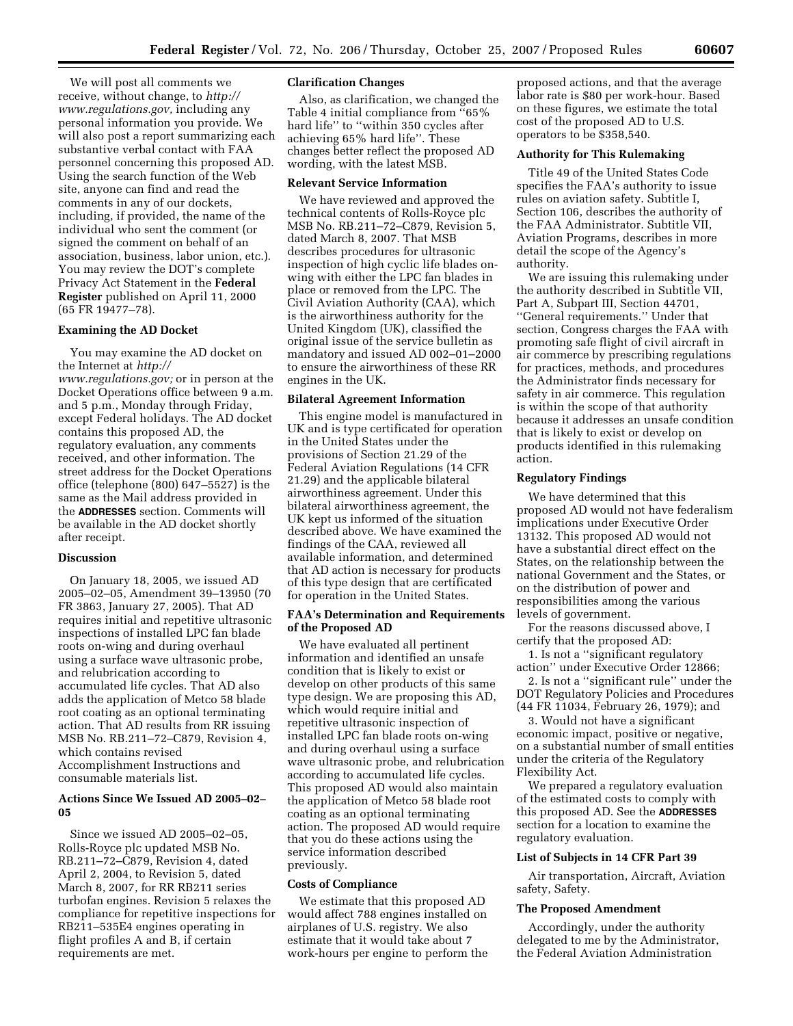We will post all comments we receive, without change, to *http:// www.regulations.gov,* including any personal information you provide. We will also post a report summarizing each substantive verbal contact with FAA personnel concerning this proposed AD. Using the search function of the Web site, anyone can find and read the comments in any of our dockets, including, if provided, the name of the individual who sent the comment (or signed the comment on behalf of an association, business, labor union, etc.). You may review the DOT's complete Privacy Act Statement in the **Federal Register** published on April 11, 2000 (65 FR 19477–78).

#### **Examining the AD Docket**

You may examine the AD docket on the Internet at *http:// www.regulations.gov;* or in person at the Docket Operations office between 9 a.m. and 5 p.m., Monday through Friday, except Federal holidays. The AD docket contains this proposed AD, the regulatory evaluation, any comments received, and other information. The street address for the Docket Operations office (telephone (800) 647–5527) is the same as the Mail address provided in the **ADDRESSES** section. Comments will be available in the AD docket shortly after receipt.

## **Discussion**

On January 18, 2005, we issued AD 2005–02–05, Amendment 39–13950 (70 FR 3863, January 27, 2005). That AD requires initial and repetitive ultrasonic inspections of installed LPC fan blade roots on-wing and during overhaul using a surface wave ultrasonic probe, and relubrication according to accumulated life cycles. That AD also adds the application of Metco 58 blade root coating as an optional terminating action. That AD results from RR issuing MSB No. RB.211–72–C879, Revision 4, which contains revised Accomplishment Instructions and consumable materials list.

## **Actions Since We Issued AD 2005–02– 05**

Since we issued AD 2005–02–05, Rolls-Royce plc updated MSB No. RB.211–72–C879, Revision 4, dated April 2, 2004, to Revision 5, dated March 8, 2007, for RR RB211 series turbofan engines. Revision 5 relaxes the compliance for repetitive inspections for RB211–535E4 engines operating in flight profiles A and B, if certain requirements are met.

## **Clarification Changes**

Also, as clarification, we changed the Table 4 initial compliance from ''65% hard life'' to ''within 350 cycles after achieving 65% hard life''. These changes better reflect the proposed AD wording, with the latest MSB.

## **Relevant Service Information**

We have reviewed and approved the technical contents of Rolls-Royce plc MSB No. RB.211–72–C879, Revision 5, dated March 8, 2007. That MSB describes procedures for ultrasonic inspection of high cyclic life blades onwing with either the LPC fan blades in place or removed from the LPC. The Civil Aviation Authority (CAA), which is the airworthiness authority for the United Kingdom (UK), classified the original issue of the service bulletin as mandatory and issued AD 002–01–2000 to ensure the airworthiness of these RR engines in the UK.

## **Bilateral Agreement Information**

This engine model is manufactured in UK and is type certificated for operation in the United States under the provisions of Section 21.29 of the Federal Aviation Regulations (14 CFR 21.29) and the applicable bilateral airworthiness agreement. Under this bilateral airworthiness agreement, the UK kept us informed of the situation described above. We have examined the findings of the CAA, reviewed all available information, and determined that AD action is necessary for products of this type design that are certificated for operation in the United States.

### **FAA's Determination and Requirements of the Proposed AD**

We have evaluated all pertinent information and identified an unsafe condition that is likely to exist or develop on other products of this same type design. We are proposing this AD, which would require initial and repetitive ultrasonic inspection of installed LPC fan blade roots on-wing and during overhaul using a surface wave ultrasonic probe, and relubrication according to accumulated life cycles. This proposed AD would also maintain the application of Metco 58 blade root coating as an optional terminating action. The proposed AD would require that you do these actions using the service information described previously.

## **Costs of Compliance**

We estimate that this proposed AD would affect 788 engines installed on airplanes of U.S. registry. We also estimate that it would take about 7 work-hours per engine to perform the

proposed actions, and that the average labor rate is \$80 per work-hour. Based on these figures, we estimate the total cost of the proposed AD to U.S. operators to be \$358,540.

## **Authority for This Rulemaking**

Title 49 of the United States Code specifies the FAA's authority to issue rules on aviation safety. Subtitle I, Section 106, describes the authority of the FAA Administrator. Subtitle VII, Aviation Programs, describes in more detail the scope of the Agency's authority.

We are issuing this rulemaking under the authority described in Subtitle VII, Part A, Subpart III, Section 44701, ''General requirements.'' Under that section, Congress charges the FAA with promoting safe flight of civil aircraft in air commerce by prescribing regulations for practices, methods, and procedures the Administrator finds necessary for safety in air commerce. This regulation is within the scope of that authority because it addresses an unsafe condition that is likely to exist or develop on products identified in this rulemaking action.

## **Regulatory Findings**

We have determined that this proposed AD would not have federalism implications under Executive Order 13132. This proposed AD would not have a substantial direct effect on the States, on the relationship between the national Government and the States, or on the distribution of power and responsibilities among the various levels of government.

For the reasons discussed above, I certify that the proposed AD:

1. Is not a ''significant regulatory action'' under Executive Order 12866;

2. Is not a ''significant rule'' under the DOT Regulatory Policies and Procedures (44 FR 11034, February 26, 1979); and

3. Would not have a significant economic impact, positive or negative, on a substantial number of small entities under the criteria of the Regulatory Flexibility Act.

We prepared a regulatory evaluation of the estimated costs to comply with this proposed AD. See the **ADDRESSES** section for a location to examine the regulatory evaluation.

#### **List of Subjects in 14 CFR Part 39**

Air transportation, Aircraft, Aviation safety, Safety.

#### **The Proposed Amendment**

Accordingly, under the authority delegated to me by the Administrator, the Federal Aviation Administration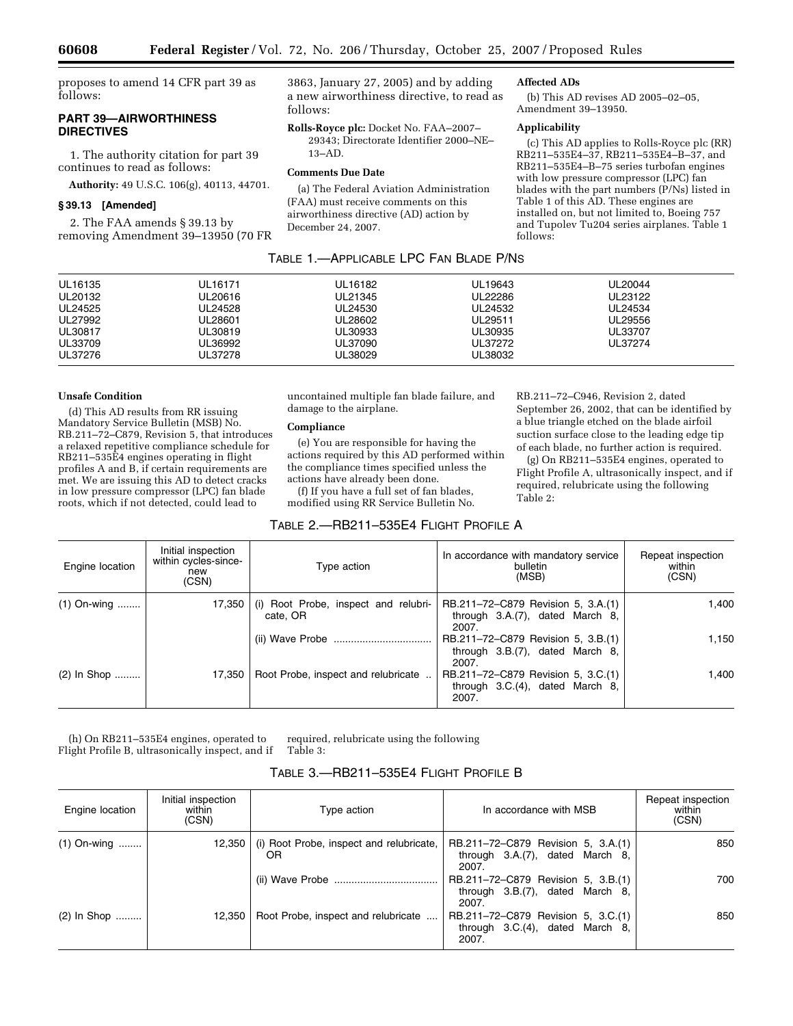proposes to amend 14 CFR part 39 as follows:

# **PART 39—AIRWORTHINESS DIRECTIVES**

1. The authority citation for part 39 continues to read as follows:

**Authority:** 49 U.S.C. 106(g), 40113, 44701.

## **§ 39.13 [Amended]**

2. The FAA amends § 39.13 by removing Amendment 39–13950 (70 FR 3863, January 27, 2005) and by adding a new airworthiness directive, to read as follows:

**Rolls-Royce plc:** Docket No. FAA–2007– 29343; Directorate Identifier 2000–NE– 13–AD.

## **Comments Due Date**

(a) The Federal Aviation Administration (FAA) must receive comments on this airworthiness directive (AD) action by December 24, 2007.

## **Affected ADs**

(b) This AD revises AD 2005–02–05, Amendment 39–13950.

# **Applicability**

(c) This AD applies to Rolls-Royce plc (RR) RB211–535E4–37, RB211–535E4–B–37, and RB211–535E4–B–75 series turbofan engines with low pressure compressor (LPC) fan blades with the part numbers (P/Ns) listed in Table 1 of this AD. These engines are installed on, but not limited to, Boeing 757 and Tupolev Tu204 series airplanes. Table 1 follows:

| TABLE 1.-APPLICABLE LPC FAN BLADE P/NS |  |
|----------------------------------------|--|
|                                        |  |

| UL37276 | UL37278 | UL38029 | UL38032 |         |  |
|---------|---------|---------|---------|---------|--|
| UL33709 | UL36992 | UL37090 | UL37272 | UL37274 |  |
| UL30817 | UL30819 | UL30933 | UL30935 | UL33707 |  |
| UL27992 | UL28601 | UL28602 | UL29511 | UL29556 |  |
| UL24525 | UL24528 | UL24530 | UL24532 | UL24534 |  |
| UL20132 | UL20616 | UL21345 | UL22286 | UL23122 |  |
| UL16135 | UL16171 | UL16182 | UL19643 | UL20044 |  |
|         |         |         |         |         |  |

#### **Unsafe Condition**

(d) This AD results from RR issuing Mandatory Service Bulletin (MSB) No. RB.211–72–C879, Revision 5, that introduces a relaxed repetitive compliance schedule for RB211–535E4 engines operating in flight profiles A and B, if certain requirements are met. We are issuing this AD to detect cracks in low pressure compressor (LPC) fan blade roots, which if not detected, could lead to

uncontained multiple fan blade failure, and damage to the airplane.

## **Compliance**

(e) You are responsible for having the actions required by this AD performed within the compliance times specified unless the actions have already been done.

(f) If you have a full set of fan blades, modified using RR Service Bulletin No.

## TABLE 2.—RB211–535E4 FLIGHT PROFILE A

RB.211–72–C946, Revision 2, dated September 26, 2002, that can be identified by a blue triangle etched on the blade airfoil suction surface close to the leading edge tip of each blade, no further action is required.

(g) On RB211–535E4 engines, operated to Flight Profile A, ultrasonically inspect, and if required, relubricate using the following Table 2:

| Engine location | Initial inspection<br>within cycles-since-<br>new<br>(CSN) | Type action                                      | In accordance with mandatory service<br>bulletin<br>(MSB)                         | Repeat inspection<br>within<br>(CSN) |
|-----------------|------------------------------------------------------------|--------------------------------------------------|-----------------------------------------------------------------------------------|--------------------------------------|
| $(1)$ On-wing   | 17,350                                                     | (i) Root Probe, inspect and relubri-<br>cate, OR | RB.211-72-C879 Revision 5, 3.A.(1)<br>through $3.A.(7)$ , dated March 8,<br>2007. | 1.400                                |
|                 |                                                            |                                                  | RB.211-72-C879 Revision 5, 3.B.(1)<br>through 3.B.(7), dated March 8,<br>2007.    | 1.150                                |
| $(2)$ In Shop   | 17.350                                                     | Root Probe, inspect and relubricate              | RB.211-72-C879 Revision 5, 3.C.(1)<br>through $3.C.(4)$ , dated March 8,<br>2007. | 1.400                                |

(h) On RB211–535E4 engines, operated to Flight Profile B, ultrasonically inspect, and if required, relubricate using the following Table 3:

# TABLE 3.—RB211–535E4 FLIGHT PROFILE B

| Engine location | Initial inspection<br>within<br>(CSN) | Type action                                    | In accordance with MSB                                                            | Repeat inspection<br>within<br>(CSN) |
|-----------------|---------------------------------------|------------------------------------------------|-----------------------------------------------------------------------------------|--------------------------------------|
| $(1)$ On-wing   | 12.350                                | (i) Root Probe, inspect and relubricate,<br>OR | RB.211-72-C879 Revision 5, 3.A.(1)<br>through $3.A.(7)$ , dated March 8,<br>2007. | 850                                  |
|                 |                                       |                                                | RB.211-72-C879 Revision 5, 3.B.(1)<br>through $3.B.(7)$ , dated March 8,<br>2007. | 700                                  |
| $(2)$ In Shop   | 12.350                                | Root Probe, inspect and relubricate            | RB.211-72-C879 Revision 5, 3.C.(1)<br>through $3.C.(4)$ , dated March 8,<br>2007. | 850                                  |